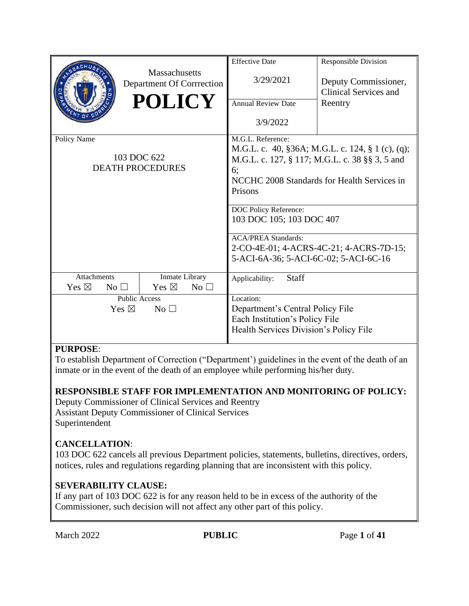|                                    |                      | <b>Massachusetts</b>                       | <b>Effective Date</b><br>3/29/2021    | <b>Responsible Division</b><br>Deputy Commissioner, |  |  |
|------------------------------------|----------------------|--------------------------------------------|---------------------------------------|-----------------------------------------------------|--|--|
|                                    |                      | Department Of Corrrection<br><b>POLICY</b> | <b>Annual Review Date</b>             | Clinical Services and<br>Reentry                    |  |  |
|                                    |                      |                                            |                                       |                                                     |  |  |
|                                    |                      |                                            | 3/9/2022                              |                                                     |  |  |
| Policy Name                        |                      |                                            | M.G.L. Reference:                     |                                                     |  |  |
|                                    |                      |                                            |                                       | M.G.L. c. 40, §36A; M.G.L. c. 124, § 1 (c), (q);    |  |  |
|                                    |                      | 103 DOC 622                                |                                       | M.G.L. c. 127, § 117; M.G.L. c. 38 §§ 3, 5 and      |  |  |
|                                    |                      | <b>DEATH PROCEDURES</b>                    | 6;                                    |                                                     |  |  |
|                                    |                      |                                            |                                       | NCCHC 2008 Standards for Health Services in         |  |  |
|                                    |                      |                                            | Prisons                               |                                                     |  |  |
|                                    |                      |                                            |                                       |                                                     |  |  |
|                                    |                      |                                            |                                       | <b>DOC Policy Reference:</b>                        |  |  |
|                                    |                      |                                            | 103 DOC 105; 103 DOC 407              |                                                     |  |  |
|                                    |                      |                                            |                                       |                                                     |  |  |
|                                    |                      |                                            | <b>ACA/PREA Standards:</b>            |                                                     |  |  |
|                                    |                      |                                            |                                       | 2-CO-4E-01; 4-ACRS-4C-21; 4-ACRS-7D-15;             |  |  |
|                                    |                      |                                            | 5-ACI-6A-36; 5-ACI-6C-02; 5-ACI-6C-16 |                                                     |  |  |
|                                    |                      |                                            |                                       |                                                     |  |  |
| Attachments                        |                      | Inmate Library                             | Staff<br>Applicability:               |                                                     |  |  |
| Yes $\boxtimes$                    | $No$ $\square$       | Yes $\boxtimes$<br>No <sub>1</sub>         |                                       |                                                     |  |  |
|                                    | <b>Public Access</b> |                                            | Location:                             |                                                     |  |  |
| Yes $\boxtimes$<br>No <sub>1</sub> |                      |                                            | Department's Central Policy File      |                                                     |  |  |
|                                    |                      |                                            | Each Institution's Policy File        |                                                     |  |  |
|                                    |                      | Health Services Division's Policy File     |                                       |                                                     |  |  |
|                                    |                      |                                            |                                       |                                                     |  |  |

## **PURPOSE**:

To establish Department of Correction ("Department') guidelines in the event of the death of an inmate or in the event of the death of an employee while performing his/her duty.

## **RESPONSIBLE STAFF FOR IMPLEMENTATION AND MONITORING OF POLICY:**

Deputy Commissioner of Clinical Services and Reentry Assistant Deputy Commissioner of Clinical Services Superintendent

## **CANCELLATION**:

103 DOC 622 cancels all previous Department policies, statements, bulletins, directives, orders, notices, rules and regulations regarding planning that are inconsistent with this policy.

## **SEVERABILITY CLAUSE:**

If any part of 103 DOC 622 is for any reason held to be in excess of the authority of the Commissioner, such decision will not affect any other part of this policy.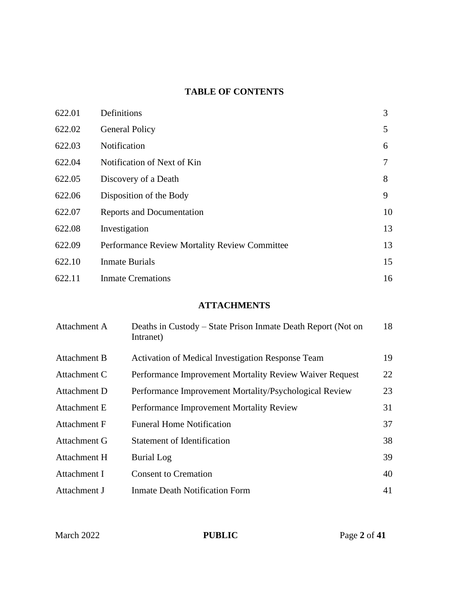# **TABLE OF CONTENTS**

| 622.01 | Definitions                                          | 3  |
|--------|------------------------------------------------------|----|
| 622.02 | <b>General Policy</b>                                | 5  |
| 622.03 | Notification                                         | 6  |
| 622.04 | Notification of Next of Kin                          |    |
| 622.05 | Discovery of a Death                                 | 8  |
| 622.06 | Disposition of the Body                              | 9  |
| 622.07 | Reports and Documentation                            | 10 |
| 622.08 | Investigation                                        | 13 |
| 622.09 | <b>Performance Review Mortality Review Committee</b> | 13 |
| 622.10 | <b>Inmate Burials</b>                                | 15 |
| 622.11 | <b>Inmate Cremations</b>                             | 16 |

## **ATTACHMENTS**

| Attachment A | Deaths in Custody – State Prison Inmate Death Report (Not on<br>Intranet) | 18 |
|--------------|---------------------------------------------------------------------------|----|
| Attachment B | Activation of Medical Investigation Response Team                         | 19 |
| Attachment C | Performance Improvement Mortality Review Waiver Request                   | 22 |
| Attachment D | Performance Improvement Mortality/Psychological Review                    | 23 |
| Attachment E | Performance Improvement Mortality Review                                  | 31 |
| Attachment F | <b>Funeral Home Notification</b>                                          | 37 |
| Attachment G | <b>Statement of Identification</b>                                        | 38 |
| Attachment H | <b>Burial Log</b>                                                         | 39 |
| Attachment I | <b>Consent to Cremation</b>                                               | 40 |
| Attachment J | <b>Inmate Death Notification Form</b>                                     | 41 |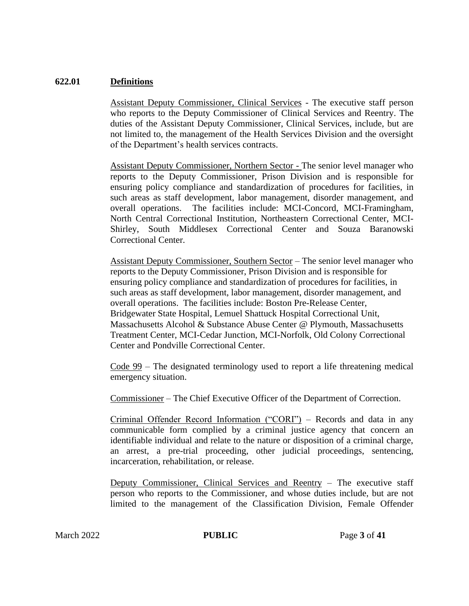#### **622.01 Definitions**

Assistant Deputy Commissioner, Clinical Services - The executive staff person who reports to the Deputy Commissioner of Clinical Services and Reentry. The duties of the Assistant Deputy Commissioner, Clinical Services, include, but are not limited to, the management of the Health Services Division and the oversight of the Department's health services contracts.

Assistant Deputy Commissioner, Northern Sector - The senior level manager who reports to the Deputy Commissioner, Prison Division and is responsible for ensuring policy compliance and standardization of procedures for facilities, in such areas as staff development, labor management, disorder management, and overall operations. The facilities include: MCI-Concord, MCI-Framingham, North Central Correctional Institution, Northeastern Correctional Center, MCI-Shirley, South Middlesex Correctional Center and Souza Baranowski Correctional Center.

Assistant Deputy Commissioner, Southern Sector – The senior level manager who reports to the Deputy Commissioner, Prison Division and is responsible for ensuring policy compliance and standardization of procedures for facilities, in such areas as staff development, labor management, disorder management, and overall operations. The facilities include: Boston Pre-Release Center, Bridgewater State Hospital, Lemuel Shattuck Hospital Correctional Unit, Massachusetts Alcohol & Substance Abuse Center @ Plymouth, Massachusetts Treatment Center, MCI-Cedar Junction, MCI-Norfolk, Old Colony Correctional Center and Pondville Correctional Center.

Code 99 – The designated terminology used to report a life threatening medical emergency situation.

Commissioner – The Chief Executive Officer of the Department of Correction.

Criminal Offender Record Information ("CORI") – Records and data in any communicable form complied by a criminal justice agency that concern an identifiable individual and relate to the nature or disposition of a criminal charge, an arrest, a pre-trial proceeding, other judicial proceedings, sentencing, incarceration, rehabilitation, or release.

Deputy Commissioner, Clinical Services and Reentry – The executive staff person who reports to the Commissioner, and whose duties include, but are not limited to the management of the Classification Division, Female Offender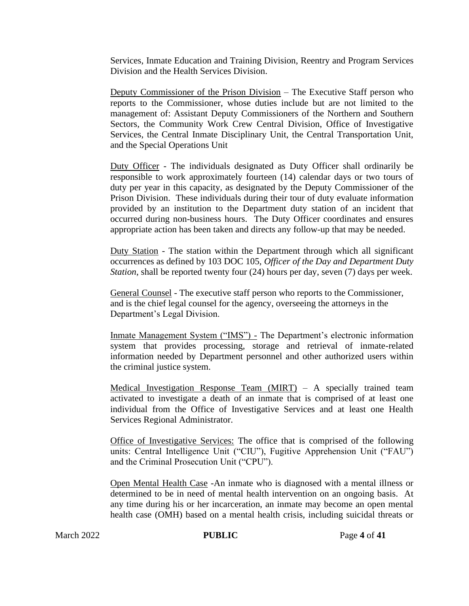Services, Inmate Education and Training Division, Reentry and Program Services Division and the Health Services Division.

Deputy Commissioner of the Prison Division – The Executive Staff person who reports to the Commissioner, whose duties include but are not limited to the management of: Assistant Deputy Commissioners of the Northern and Southern Sectors, the Community Work Crew Central Division, Office of Investigative Services, the Central Inmate Disciplinary Unit, the Central Transportation Unit, and the Special Operations Unit

Duty Officer - The individuals designated as Duty Officer shall ordinarily be responsible to work approximately fourteen (14) calendar days or two tours of duty per year in this capacity, as designated by the Deputy Commissioner of the Prison Division. These individuals during their tour of duty evaluate information provided by an institution to the Department duty station of an incident that occurred during non-business hours. The Duty Officer coordinates and ensures appropriate action has been taken and directs any follow-up that may be needed.

Duty Station - The station within the Department through which all significant occurrences as defined by 103 DOC 105, *Officer of the Day and Department Duty Station*, shall be reported twenty four (24) hours per day, seven (7) days per week.

General Counsel - The executive staff person who reports to the Commissioner, and is the chief legal counsel for the agency, overseeing the attorneys in the Department's Legal Division.

Inmate Management System ("IMS") - The Department's electronic information system that provides processing, storage and retrieval of inmate-related information needed by Department personnel and other authorized users within the criminal justice system.

Medical Investigation Response Team (MIRT) – A specially trained team activated to investigate a death of an inmate that is comprised of at least one individual from the Office of Investigative Services and at least one Health Services Regional Administrator.

Office of Investigative Services: The office that is comprised of the following units: Central Intelligence Unit ("CIU"), Fugitive Apprehension Unit ("FAU") and the Criminal Prosecution Unit ("CPU").

Open Mental Health Case -An inmate who is diagnosed with a mental illness or determined to be in need of mental health intervention on an ongoing basis. At any time during his or her incarceration, an inmate may become an open mental health case (OMH) based on a mental health crisis, including suicidal threats or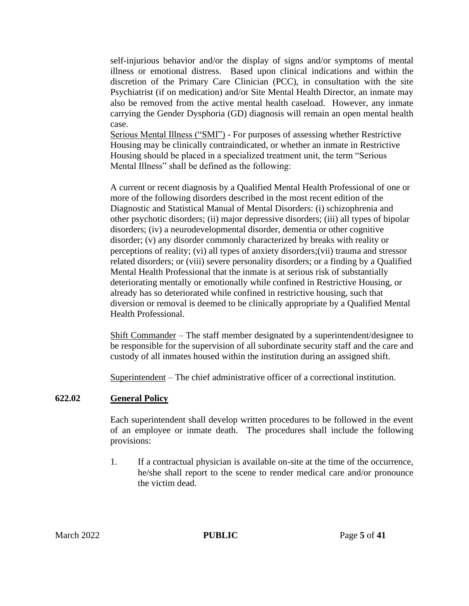self-injurious behavior and/or the display of signs and/or symptoms of mental illness or emotional distress. Based upon clinical indications and within the discretion of the Primary Care Clinician (PCC), in consultation with the site Psychiatrist (if on medication) and/or Site Mental Health Director, an inmate may also be removed from the active mental health caseload. However, any inmate carrying the Gender Dysphoria (GD) diagnosis will remain an open mental health case.

Serious Mental Illness ("SMI") - For purposes of assessing whether Restrictive Housing may be clinically contraindicated, or whether an inmate in Restrictive Housing should be placed in a specialized treatment unit, the term "Serious Mental Illness" shall be defined as the following:

A current or recent diagnosis by a Qualified Mental Health Professional of one or more of the following disorders described in the most recent edition of the Diagnostic and Statistical Manual of Mental Disorders: (i) schizophrenia and other psychotic disorders; (ii) major depressive disorders; (iii) all types of bipolar disorders; (iv) a neurodevelopmental disorder, dementia or other cognitive disorder; (v) any disorder commonly characterized by breaks with reality or perceptions of reality; (vi) all types of anxiety disorders;(vii) trauma and stressor related disorders; or (viii) severe personality disorders; or a finding by a Qualified Mental Health Professional that the inmate is at serious risk of substantially deteriorating mentally or emotionally while confined in Restrictive Housing, or already has so deteriorated while confined in restrictive housing, such that diversion or removal is deemed to be clinically appropriate by a Qualified Mental Health Professional.

Shift Commander – The staff member designated by a superintendent/designee to be responsible for the supervision of all subordinate security staff and the care and custody of all inmates housed within the institution during an assigned shift.

Superintendent – The chief administrative officer of a correctional institution.

#### **622.02 General Policy**

Each superintendent shall develop written procedures to be followed in the event of an employee or inmate death. The procedures shall include the following provisions:

1. If a contractual physician is available on-site at the time of the occurrence, he/she shall report to the scene to render medical care and/or pronounce the victim dead.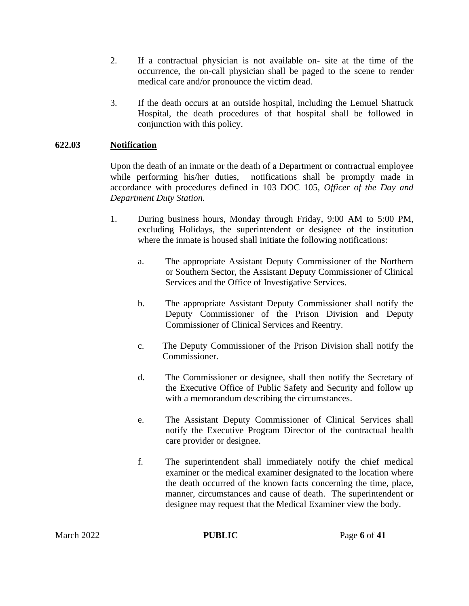- 2. If a contractual physician is not available on- site at the time of the occurrence, the on-call physician shall be paged to the scene to render medical care and/or pronounce the victim dead.
- 3. If the death occurs at an outside hospital, including the Lemuel Shattuck Hospital, the death procedures of that hospital shall be followed in conjunction with this policy.

## **622.03 Notification**

Upon the death of an inmate or the death of a Department or contractual employee while performing his/her duties, notifications shall be promptly made in accordance with procedures defined in 103 DOC 105, *Officer of the Day and Department Duty Station.*

- 1. During business hours, Monday through Friday, 9:00 AM to 5:00 PM, excluding Holidays, the superintendent or designee of the institution where the inmate is housed shall initiate the following notifications:
	- a. The appropriate Assistant Deputy Commissioner of the Northern or Southern Sector, the Assistant Deputy Commissioner of Clinical Services and the Office of Investigative Services.
	- b. The appropriate Assistant Deputy Commissioner shall notify the Deputy Commissioner of the Prison Division and Deputy Commissioner of Clinical Services and Reentry.
	- c. The Deputy Commissioner of the Prison Division shall notify the Commissioner.
	- d. The Commissioner or designee, shall then notify the Secretary of the Executive Office of Public Safety and Security and follow up with a memorandum describing the circumstances.
	- e. The Assistant Deputy Commissioner of Clinical Services shall notify the Executive Program Director of the contractual health care provider or designee.
	- f. The superintendent shall immediately notify the chief medical examiner or the medical examiner designated to the location where the death occurred of the known facts concerning the time, place, manner, circumstances and cause of death. The superintendent or designee may request that the Medical Examiner view the body.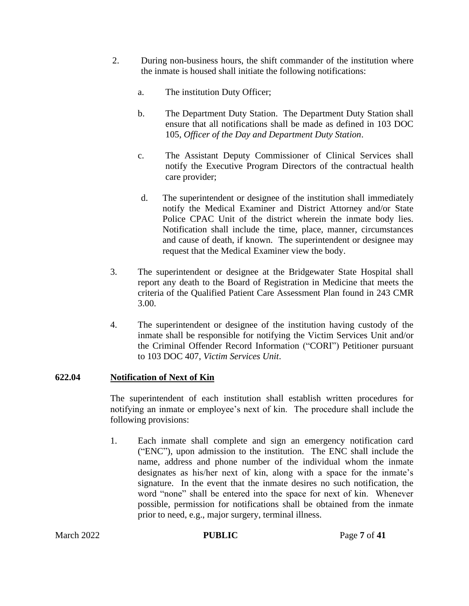- 2. During non-business hours, the shift commander of the institution where the inmate is housed shall initiate the following notifications:
	- a. The institution Duty Officer;
	- b. The Department Duty Station. The Department Duty Station shall ensure that all notifications shall be made as defined in 103 DOC 105, *Officer of the Day and Department Duty Station*.
	- c. The Assistant Deputy Commissioner of Clinical Services shall notify the Executive Program Directors of the contractual health care provider;
	- d. The superintendent or designee of the institution shall immediately notify the Medical Examiner and District Attorney and/or State Police CPAC Unit of the district wherein the inmate body lies. Notification shall include the time, place, manner, circumstances and cause of death, if known. The superintendent or designee may request that the Medical Examiner view the body.
- 3. The superintendent or designee at the Bridgewater State Hospital shall report any death to the Board of Registration in Medicine that meets the criteria of the Qualified Patient Care Assessment Plan found in 243 CMR 3.00.
- 4. The superintendent or designee of the institution having custody of the inmate shall be responsible for notifying the Victim Services Unit and/or the Criminal Offender Record Information ("CORI") Petitioner pursuant to 103 DOC 407, *Victim Services Unit*.

#### **622.04 Notification of Next of Kin**

The superintendent of each institution shall establish written procedures for notifying an inmate or employee's next of kin. The procedure shall include the following provisions:

1. Each inmate shall complete and sign an emergency notification card ("ENC"), upon admission to the institution. The ENC shall include the name, address and phone number of the individual whom the inmate designates as his/her next of kin, along with a space for the inmate's signature. In the event that the inmate desires no such notification, the word "none" shall be entered into the space for next of kin. Whenever possible, permission for notifications shall be obtained from the inmate prior to need, e.g., major surgery, terminal illness.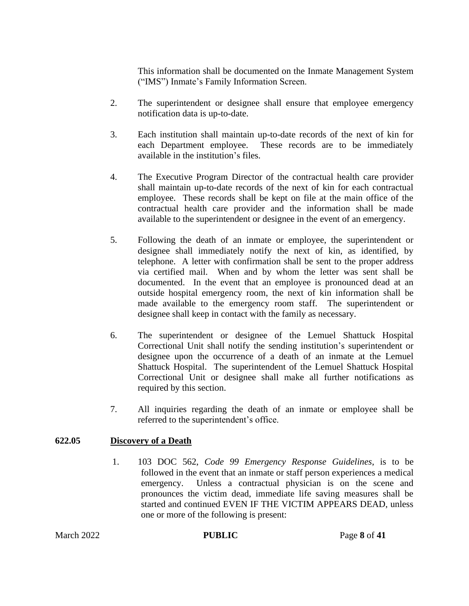This information shall be documented on the Inmate Management System ("IMS") Inmate's Family Information Screen.

- 2. The superintendent or designee shall ensure that employee emergency notification data is up-to-date.
- 3. Each institution shall maintain up-to-date records of the next of kin for each Department employee. These records are to be immediately available in the institution's files.
- 4. The Executive Program Director of the contractual health care provider shall maintain up-to-date records of the next of kin for each contractual employee. These records shall be kept on file at the main office of the contractual health care provider and the information shall be made available to the superintendent or designee in the event of an emergency.
- 5. Following the death of an inmate or employee, the superintendent or designee shall immediately notify the next of kin, as identified, by telephone. A letter with confirmation shall be sent to the proper address via certified mail. When and by whom the letter was sent shall be documented. In the event that an employee is pronounced dead at an outside hospital emergency room, the next of kin information shall be made available to the emergency room staff. The superintendent or designee shall keep in contact with the family as necessary.
- 6. The superintendent or designee of the Lemuel Shattuck Hospital Correctional Unit shall notify the sending institution's superintendent or designee upon the occurrence of a death of an inmate at the Lemuel Shattuck Hospital. The superintendent of the Lemuel Shattuck Hospital Correctional Unit or designee shall make all further notifications as required by this section.
- 7. All inquiries regarding the death of an inmate or employee shall be referred to the superintendent's office.

### **622.05 Discovery of a Death**

1. 103 DOC 562, *Code 99 Emergency Response Guidelines*, is to be followed in the event that an inmate or staff person experiences a medical emergency. Unless a contractual physician is on the scene and pronounces the victim dead, immediate life saving measures shall be started and continued EVEN IF THE VICTIM APPEARS DEAD, unless one or more of the following is present: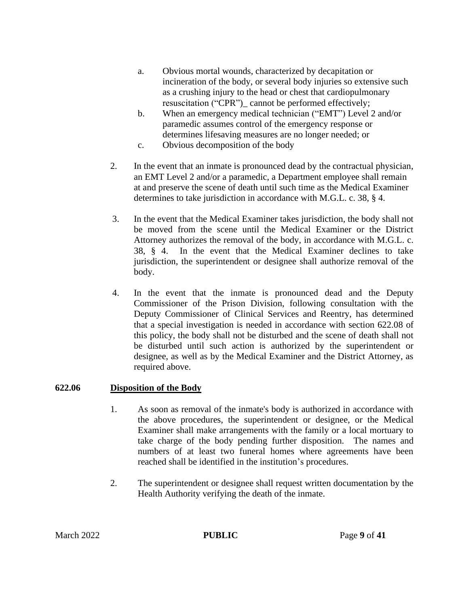- a. Obvious mortal wounds, characterized by decapitation or incineration of the body, or several body injuries so extensive such as a crushing injury to the head or chest that cardiopulmonary resuscitation ("CPR")\_ cannot be performed effectively;
- b. When an emergency medical technician ("EMT") Level 2 and/or paramedic assumes control of the emergency response or determines lifesaving measures are no longer needed; or
- c. Obvious decomposition of the body
- 2. In the event that an inmate is pronounced dead by the contractual physician, an EMT Level 2 and/or a paramedic, a Department employee shall remain at and preserve the scene of death until such time as the Medical Examiner determines to take jurisdiction in accordance with M.G.L. c. 38, § 4.
- 3. In the event that the Medical Examiner takes jurisdiction, the body shall not be moved from the scene until the Medical Examiner or the District Attorney authorizes the removal of the body, in accordance with M.G.L. c. 38, § 4. In the event that the Medical Examiner declines to take jurisdiction, the superintendent or designee shall authorize removal of the body.
- 4. In the event that the inmate is pronounced dead and the Deputy Commissioner of the Prison Division, following consultation with the Deputy Commissioner of Clinical Services and Reentry, has determined that a special investigation is needed in accordance with section 622.08 of this policy, the body shall not be disturbed and the scene of death shall not be disturbed until such action is authorized by the superintendent or designee, as well as by the Medical Examiner and the District Attorney, as required above.

### **622.06 Disposition of the Body**

- 1. As soon as removal of the inmate's body is authorized in accordance with the above procedures, the superintendent or designee, or the Medical Examiner shall make arrangements with the family or a local mortuary to take charge of the body pending further disposition. The names and numbers of at least two funeral homes where agreements have been reached shall be identified in the institution's procedures.
- 2. The superintendent or designee shall request written documentation by the Health Authority verifying the death of the inmate.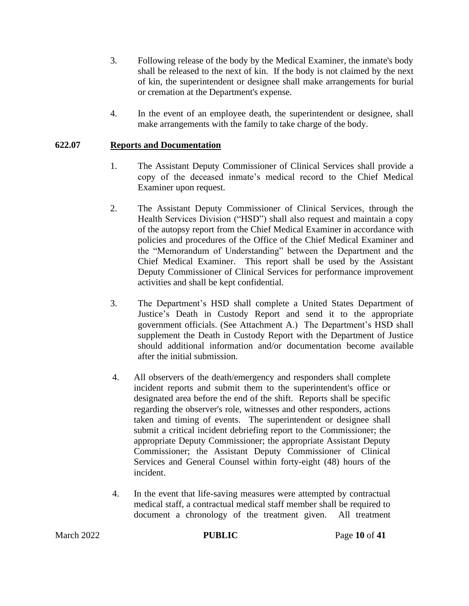- 3. Following release of the body by the Medical Examiner, the inmate's body shall be released to the next of kin. If the body is not claimed by the next of kin, the superintendent or designee shall make arrangements for burial or cremation at the Department's expense.
- 4. In the event of an employee death, the superintendent or designee, shall make arrangements with the family to take charge of the body.

#### **622.07 Reports and Documentation**

- 1. The Assistant Deputy Commissioner of Clinical Services shall provide a copy of the deceased inmate's medical record to the Chief Medical Examiner upon request.
- 2. The Assistant Deputy Commissioner of Clinical Services, through the Health Services Division ("HSD") shall also request and maintain a copy of the autopsy report from the Chief Medical Examiner in accordance with policies and procedures of the Office of the Chief Medical Examiner and the "Memorandum of Understanding" between the Department and the Chief Medical Examiner. This report shall be used by the Assistant Deputy Commissioner of Clinical Services for performance improvement activities and shall be kept confidential.
- 3. The Department's HSD shall complete a United States Department of Justice's Death in Custody Report and send it to the appropriate government officials. (See Attachment A.) The Department's HSD shall supplement the Death in Custody Report with the Department of Justice should additional information and/or documentation become available after the initial submission.
- 4. All observers of the death/emergency and responders shall complete incident reports and submit them to the superintendent's office or designated area before the end of the shift. Reports shall be specific regarding the observer's role, witnesses and other responders, actions taken and timing of events. The superintendent or designee shall submit a critical incident debriefing report to the Commissioner; the appropriate Deputy Commissioner; the appropriate Assistant Deputy Commissioner; the Assistant Deputy Commissioner of Clinical Services and General Counsel within forty-eight (48) hours of the incident.
- 4. In the event that life-saving measures were attempted by contractual medical staff, a contractual medical staff member shall be required to document a chronology of the treatment given. All treatment

**PUBLIC** Page 10 of 41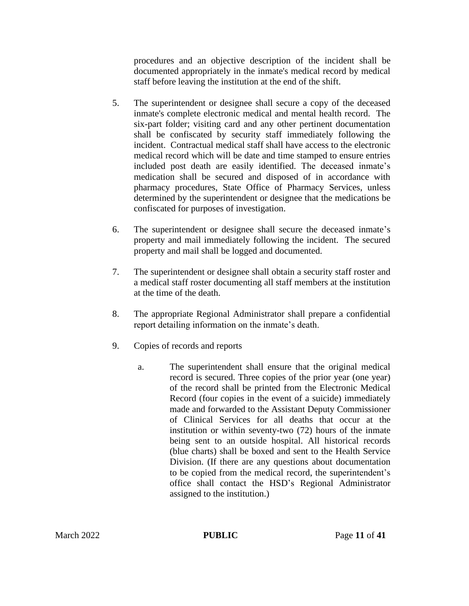procedures and an objective description of the incident shall be documented appropriately in the inmate's medical record by medical staff before leaving the institution at the end of the shift.

- 5. The superintendent or designee shall secure a copy of the deceased inmate's complete electronic medical and mental health record. The six-part folder; visiting card and any other pertinent documentation shall be confiscated by security staff immediately following the incident. Contractual medical staff shall have access to the electronic medical record which will be date and time stamped to ensure entries included post death are easily identified. The deceased inmate's medication shall be secured and disposed of in accordance with pharmacy procedures, State Office of Pharmacy Services, unless determined by the superintendent or designee that the medications be confiscated for purposes of investigation.
- 6. The superintendent or designee shall secure the deceased inmate's property and mail immediately following the incident. The secured property and mail shall be logged and documented.
- 7. The superintendent or designee shall obtain a security staff roster and a medical staff roster documenting all staff members at the institution at the time of the death.
- 8. The appropriate Regional Administrator shall prepare a confidential report detailing information on the inmate's death.
- 9. Copies of records and reports
	- a. The superintendent shall ensure that the original medical record is secured. Three copies of the prior year (one year) of the record shall be printed from the Electronic Medical Record (four copies in the event of a suicide) immediately made and forwarded to the Assistant Deputy Commissioner of Clinical Services for all deaths that occur at the institution or within seventy-two (72) hours of the inmate being sent to an outside hospital. All historical records (blue charts) shall be boxed and sent to the Health Service Division. (If there are any questions about documentation to be copied from the medical record, the superintendent's office shall contact the HSD's Regional Administrator assigned to the institution.)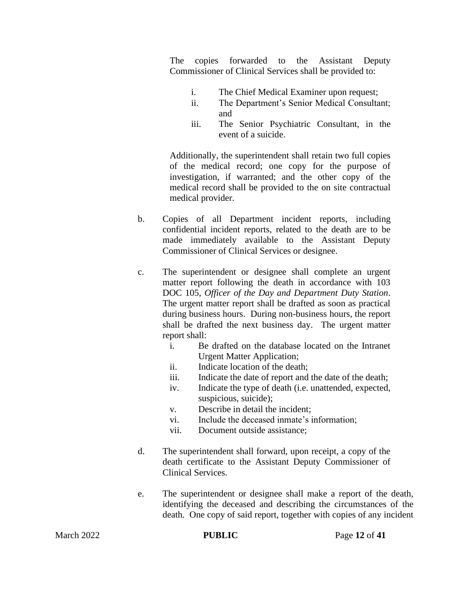The copies forwarded to the Assistant Deputy Commissioner of Clinical Services shall be provided to:

- i. The Chief Medical Examiner upon request;
- ii. The Department's Senior Medical Consultant; and
- iii. The Senior Psychiatric Consultant, in the event of a suicide.

Additionally, the superintendent shall retain two full copies of the medical record; one copy for the purpose of investigation, if warranted; and the other copy of the medical record shall be provided to the on site contractual medical provider.

- b. Copies of all Department incident reports, including confidential incident reports, related to the death are to be made immediately available to the Assistant Deputy Commissioner of Clinical Services or designee.
- c. The superintendent or designee shall complete an urgent matter report following the death in accordance with 103 DOC 105, *Officer of the Day and Department Duty Station*. The urgent matter report shall be drafted as soon as practical during business hours. During non-business hours, the report shall be drafted the next business day. The urgent matter report shall:
	- i. Be drafted on the database located on the Intranet Urgent Matter Application;
	- ii. Indicate location of the death;
	- iii. Indicate the date of report and the date of the death;
	- iv. Indicate the type of death (i.e. unattended, expected, suspicious, suicide);
	- v. Describe in detail the incident;
	- vi. Include the deceased inmate's information;
	- vii. Document outside assistance;
- d. The superintendent shall forward, upon receipt, a copy of the death certificate to the Assistant Deputy Commissioner of Clinical Services.
- e. The superintendent or designee shall make a report of the death, identifying the deceased and describing the circumstances of the death. One copy of said report, together with copies of any incident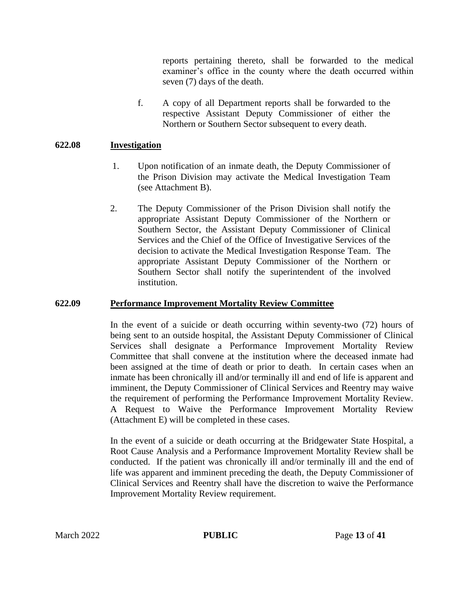reports pertaining thereto, shall be forwarded to the medical examiner's office in the county where the death occurred within seven (7) days of the death.

f. A copy of all Department reports shall be forwarded to the respective Assistant Deputy Commissioner of either the Northern or Southern Sector subsequent to every death.

#### **622.08 Investigation**

- 1. Upon notification of an inmate death, the Deputy Commissioner of the Prison Division may activate the Medical Investigation Team (see Attachment B).
- 2. The Deputy Commissioner of the Prison Division shall notify the appropriate Assistant Deputy Commissioner of the Northern or Southern Sector, the Assistant Deputy Commissioner of Clinical Services and the Chief of the Office of Investigative Services of the decision to activate the Medical Investigation Response Team. The appropriate Assistant Deputy Commissioner of the Northern or Southern Sector shall notify the superintendent of the involved institution.

#### **622.09 Performance Improvement Mortality Review Committee**

In the event of a suicide or death occurring within seventy-two (72) hours of being sent to an outside hospital, the Assistant Deputy Commissioner of Clinical Services shall designate a Performance Improvement Mortality Review Committee that shall convene at the institution where the deceased inmate had been assigned at the time of death or prior to death. In certain cases when an inmate has been chronically ill and/or terminally ill and end of life is apparent and imminent, the Deputy Commissioner of Clinical Services and Reentry may waive the requirement of performing the Performance Improvement Mortality Review. A Request to Waive the Performance Improvement Mortality Review (Attachment E) will be completed in these cases.

In the event of a suicide or death occurring at the Bridgewater State Hospital, a Root Cause Analysis and a Performance Improvement Mortality Review shall be conducted. If the patient was chronically ill and/or terminally ill and the end of life was apparent and imminent preceding the death, the Deputy Commissioner of Clinical Services and Reentry shall have the discretion to waive the Performance Improvement Mortality Review requirement.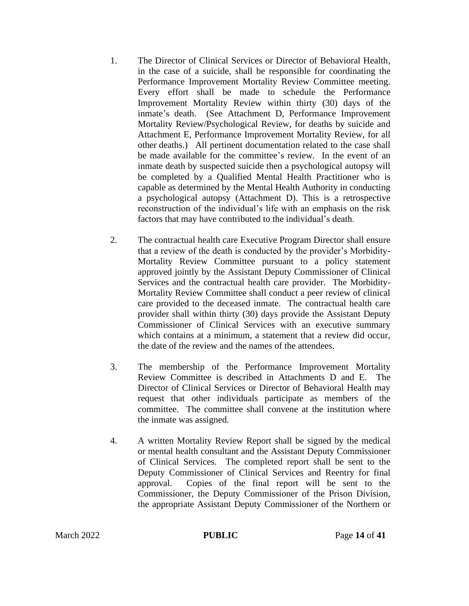- 1. The Director of Clinical Services or Director of Behavioral Health, in the case of a suicide, shall be responsible for coordinating the Performance Improvement Mortality Review Committee meeting. Every effort shall be made to schedule the Performance Improvement Mortality Review within thirty (30) days of the inmate's death. (See Attachment D, Performance Improvement Mortality Review/Psychological Review, for deaths by suicide and Attachment E, Performance Improvement Mortality Review, for all other deaths.) All pertinent documentation related to the case shall be made available for the committee's review. In the event of an inmate death by suspected suicide then a psychological autopsy will be completed by a Qualified Mental Health Practitioner who is capable as determined by the Mental Health Authority in conducting a psychological autopsy (Attachment D). This is a retrospective reconstruction of the individual's life with an emphasis on the risk factors that may have contributed to the individual's death.
- 2. The contractual health care Executive Program Director shall ensure that a review of the death is conducted by the provider's Morbidity-Mortality Review Committee pursuant to a policy statement approved jointly by the Assistant Deputy Commissioner of Clinical Services and the contractual health care provider. The Morbidity-Mortality Review Committee shall conduct a peer review of clinical care provided to the deceased inmate. The contractual health care provider shall within thirty (30) days provide the Assistant Deputy Commissioner of Clinical Services with an executive summary which contains at a minimum, a statement that a review did occur. the date of the review and the names of the attendees.
- 3. The membership of the Performance Improvement Mortality Review Committee is described in Attachments D and E. The Director of Clinical Services or Director of Behavioral Health may request that other individuals participate as members of the committee. The committee shall convene at the institution where the inmate was assigned.
- 4. A written Mortality Review Report shall be signed by the medical or mental health consultant and the Assistant Deputy Commissioner of Clinical Services. The completed report shall be sent to the Deputy Commissioner of Clinical Services and Reentry for final approval. Copies of the final report will be sent to the Commissioner, the Deputy Commissioner of the Prison Division, the appropriate Assistant Deputy Commissioner of the Northern or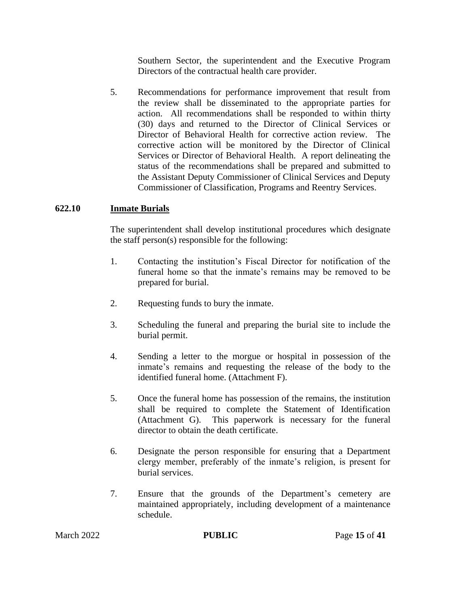Southern Sector, the superintendent and the Executive Program Directors of the contractual health care provider.

5. Recommendations for performance improvement that result from the review shall be disseminated to the appropriate parties for action. All recommendations shall be responded to within thirty (30) days and returned to the Director of Clinical Services or Director of Behavioral Health for corrective action review. The corrective action will be monitored by the Director of Clinical Services or Director of Behavioral Health. A report delineating the status of the recommendations shall be prepared and submitted to the Assistant Deputy Commissioner of Clinical Services and Deputy Commissioner of Classification, Programs and Reentry Services.

#### **622.10 Inmate Burials**

The superintendent shall develop institutional procedures which designate the staff person(s) responsible for the following:

- 1. Contacting the institution's Fiscal Director for notification of the funeral home so that the inmate's remains may be removed to be prepared for burial.
- 2. Requesting funds to bury the inmate.
- 3. Scheduling the funeral and preparing the burial site to include the burial permit.
- 4. Sending a letter to the morgue or hospital in possession of the inmate's remains and requesting the release of the body to the identified funeral home. (Attachment F).
- 5. Once the funeral home has possession of the remains, the institution shall be required to complete the Statement of Identification (Attachment G). This paperwork is necessary for the funeral director to obtain the death certificate.
- 6. Designate the person responsible for ensuring that a Department clergy member, preferably of the inmate's religion, is present for burial services.
- 7. Ensure that the grounds of the Department's cemetery are maintained appropriately, including development of a maintenance schedule.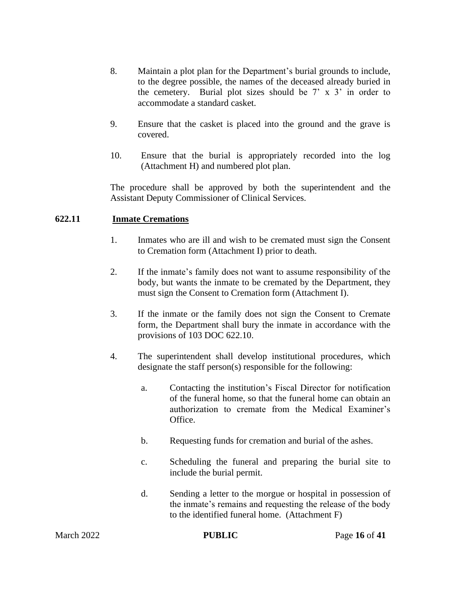- 8. Maintain a plot plan for the Department's burial grounds to include, to the degree possible, the names of the deceased already buried in the cemetery. Burial plot sizes should be  $7' \times 3'$  in order to accommodate a standard casket.
- 9. Ensure that the casket is placed into the ground and the grave is covered.
- 10. Ensure that the burial is appropriately recorded into the log (Attachment H) and numbered plot plan.

The procedure shall be approved by both the superintendent and the Assistant Deputy Commissioner of Clinical Services.

#### **622.11 Inmate Cremations**

- 1. Inmates who are ill and wish to be cremated must sign the Consent to Cremation form (Attachment I) prior to death.
- 2. If the inmate's family does not want to assume responsibility of the body, but wants the inmate to be cremated by the Department, they must sign the Consent to Cremation form (Attachment I).
- 3. If the inmate or the family does not sign the Consent to Cremate form, the Department shall bury the inmate in accordance with the provisions of 103 DOC 622.10.
- 4. The superintendent shall develop institutional procedures, which designate the staff person(s) responsible for the following:
	- a. Contacting the institution's Fiscal Director for notification of the funeral home, so that the funeral home can obtain an authorization to cremate from the Medical Examiner's Office.
	- b. Requesting funds for cremation and burial of the ashes.
	- c. Scheduling the funeral and preparing the burial site to include the burial permit.
	- d. Sending a letter to the morgue or hospital in possession of the inmate's remains and requesting the release of the body to the identified funeral home. (Attachment F)

| March 2022 | <b>PUBLIC</b> | Page 16 of 41 |
|------------|---------------|---------------|
|            |               |               |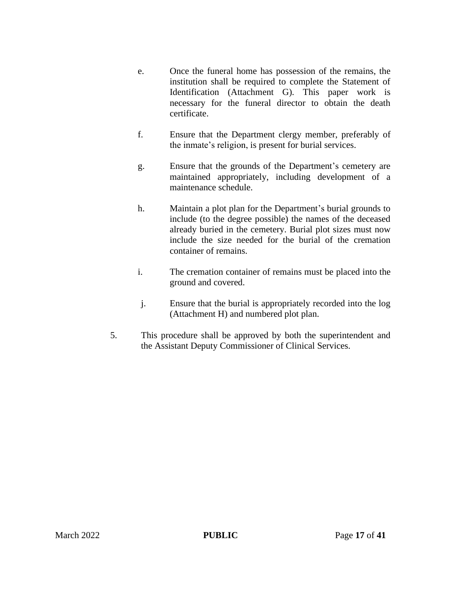- e. Once the funeral home has possession of the remains, the institution shall be required to complete the Statement of Identification (Attachment G). This paper work is necessary for the funeral director to obtain the death certificate.
- f. Ensure that the Department clergy member, preferably of the inmate's religion, is present for burial services.
- g. Ensure that the grounds of the Department's cemetery are maintained appropriately, including development of a maintenance schedule.
- h. Maintain a plot plan for the Department's burial grounds to include (to the degree possible) the names of the deceased already buried in the cemetery. Burial plot sizes must now include the size needed for the burial of the cremation container of remains.
- i. The cremation container of remains must be placed into the ground and covered.
- j. Ensure that the burial is appropriately recorded into the log (Attachment H) and numbered plot plan.
- 5. This procedure shall be approved by both the superintendent and the Assistant Deputy Commissioner of Clinical Services.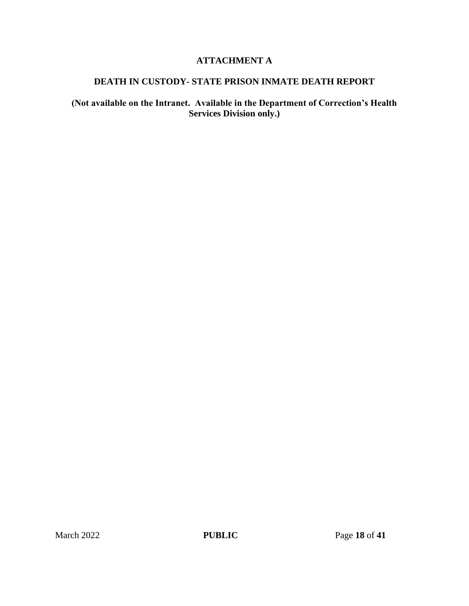## **ATTACHMENT A**

## **DEATH IN CUSTODY- STATE PRISON INMATE DEATH REPORT**

## **(Not available on the Intranet. Available in the Department of Correction's Health Services Division only.)**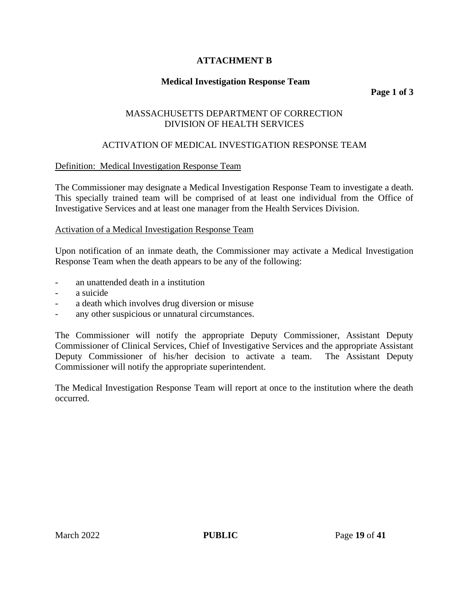## **ATTACHMENT B**

## **Medical Investigation Response Team**

**Page 1 of 3**

### MASSACHUSETTS DEPARTMENT OF CORRECTION DIVISION OF HEALTH SERVICES

## ACTIVATION OF MEDICAL INVESTIGATION RESPONSE TEAM

### Definition: Medical Investigation Response Team

The Commissioner may designate a Medical Investigation Response Team to investigate a death. This specially trained team will be comprised of at least one individual from the Office of Investigative Services and at least one manager from the Health Services Division.

### Activation of a Medical Investigation Response Team

Upon notification of an inmate death, the Commissioner may activate a Medical Investigation Response Team when the death appears to be any of the following:

- an unattended death in a institution
- a suicide
- a death which involves drug diversion or misuse
- any other suspicious or unnatural circumstances.

The Commissioner will notify the appropriate Deputy Commissioner, Assistant Deputy Commissioner of Clinical Services, Chief of Investigative Services and the appropriate Assistant Deputy Commissioner of his/her decision to activate a team. The Assistant Deputy Commissioner will notify the appropriate superintendent.

The Medical Investigation Response Team will report at once to the institution where the death occurred.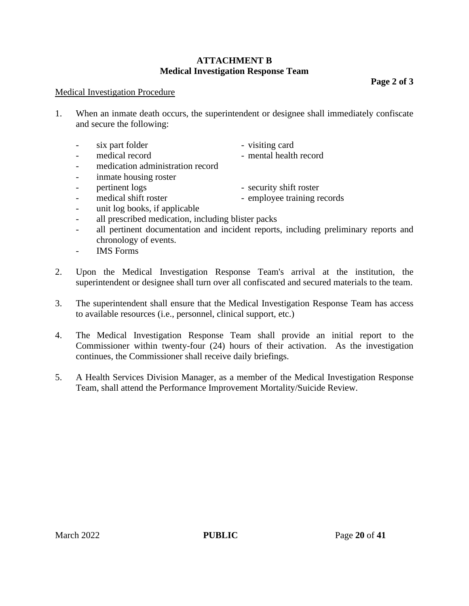### **ATTACHMENT B Medical Investigation Response Team**

**Page 2 of 3**

#### Medical Investigation Procedure

1. When an inmate death occurs, the superintendent or designee shall immediately confiscate and secure the following:

| $\sim$ 100 $\mu$ | six part folder                  | - visiting card        |
|------------------|----------------------------------|------------------------|
| $\sim$           | medical record                   | - mental health record |
| $\sim$           | medication administration record |                        |
| $\sim$           | inmate housing roster            |                        |

- pertinent logs security shift roster

- medical shift roster - employee training records

- unit log books, if applicable
- all prescribed medication, including blister packs
- all pertinent documentation and incident reports, including preliminary reports and chronology of events.
- IMS Forms
- 2. Upon the Medical Investigation Response Team's arrival at the institution, the superintendent or designee shall turn over all confiscated and secured materials to the team.
- 3. The superintendent shall ensure that the Medical Investigation Response Team has access to available resources (i.e., personnel, clinical support, etc.)
- 4. The Medical Investigation Response Team shall provide an initial report to the Commissioner within twenty-four (24) hours of their activation. As the investigation continues, the Commissioner shall receive daily briefings.
- 5. A Health Services Division Manager, as a member of the Medical Investigation Response Team, shall attend the Performance Improvement Mortality/Suicide Review.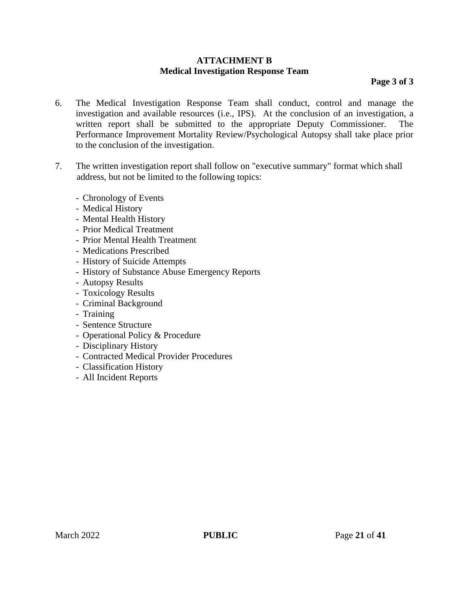#### **ATTACHMENT B Medical Investigation Response Team**

**Page 3 of 3**

- 6. The Medical Investigation Response Team shall conduct, control and manage the investigation and available resources (i.e., IPS). At the conclusion of an investigation, a written report shall be submitted to the appropriate Deputy Commissioner. The Performance Improvement Mortality Review/Psychological Autopsy shall take place prior to the conclusion of the investigation.
- 7. The written investigation report shall follow on "executive summary" format which shall address, but not be limited to the following topics:
	- Chronology of Events
	- Medical History
	- Mental Health History
	- Prior Medical Treatment
	- Prior Mental Health Treatment
	- Medications Prescribed
	- History of Suicide Attempts
	- History of Substance Abuse Emergency Reports
	- Autopsy Results
	- Toxicology Results
	- Criminal Background
	- Training
	- Sentence Structure
	- Operational Policy & Procedure
	- Disciplinary History
	- Contracted Medical Provider Procedures
	- Classification History
	- All Incident Reports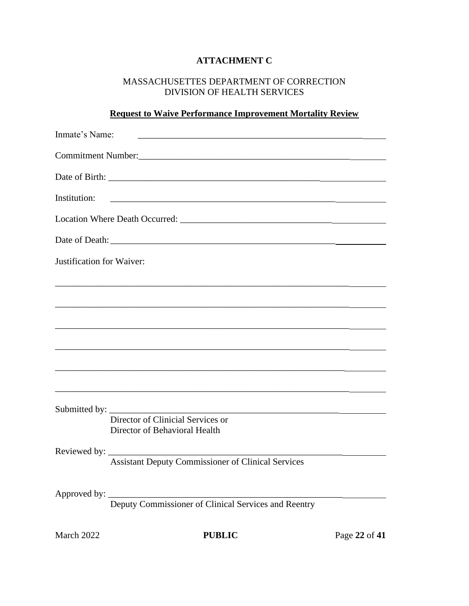# **ATTACHMENT C**

## MASSACHUSETTES DEPARTMENT OF CORRECTION DIVISION OF HEALTH SERVICES

## **Request to Waive Performance Improvement Mortality Review**

| Inmate's Name:            | <u> 1980 - Johann John Stone, Amerikaansk politiker († 1908)</u>                                          |               |
|---------------------------|-----------------------------------------------------------------------------------------------------------|---------------|
|                           |                                                                                                           |               |
|                           |                                                                                                           |               |
| Institution:              |                                                                                                           |               |
|                           |                                                                                                           |               |
|                           |                                                                                                           |               |
| Justification for Waiver: |                                                                                                           |               |
|                           |                                                                                                           |               |
|                           |                                                                                                           |               |
|                           |                                                                                                           |               |
|                           |                                                                                                           |               |
|                           |                                                                                                           |               |
|                           | Director of Clinicial Services or<br>Director of Behavioral Health                                        |               |
|                           | <b>Assistant Deputy Commissioner of Clinical Services</b>                                                 |               |
|                           | Approved by: $\_\_\_\_\_\_\_\_\_\_\_\_\_\_\_\_\_$<br>Deputy Commissioner of Clinical Services and Reentry |               |
| March 2022                | <b>PUBLIC</b>                                                                                             | Page 22 of 41 |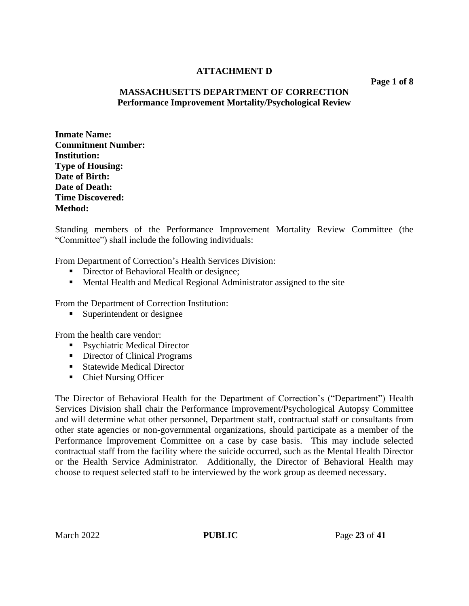### **ATTACHMENT D**

**Page 1 of 8**

#### **MASSACHUSETTS DEPARTMENT OF CORRECTION Performance Improvement Mortality/Psychological Review**

**Inmate Name: Commitment Number: Institution: Type of Housing: Date of Birth: Date of Death: Time Discovered: Method:**

Standing members of the Performance Improvement Mortality Review Committee (the "Committee") shall include the following individuals:

From Department of Correction's Health Services Division:

- Director of Behavioral Health or designee;
- Mental Health and Medical Regional Administrator assigned to the site

From the Department of Correction Institution:

■ Superintendent or designee

From the health care vendor:

- Psychiatric Medical Director
- Director of Clinical Programs
- Statewide Medical Director
- Chief Nursing Officer

The Director of Behavioral Health for the Department of Correction's ("Department") Health Services Division shall chair the Performance Improvement/Psychological Autopsy Committee and will determine what other personnel, Department staff, contractual staff or consultants from other state agencies or non-governmental organizations, should participate as a member of the Performance Improvement Committee on a case by case basis. This may include selected contractual staff from the facility where the suicide occurred, such as the Mental Health Director or the Health Service Administrator. Additionally, the Director of Behavioral Health may choose to request selected staff to be interviewed by the work group as deemed necessary.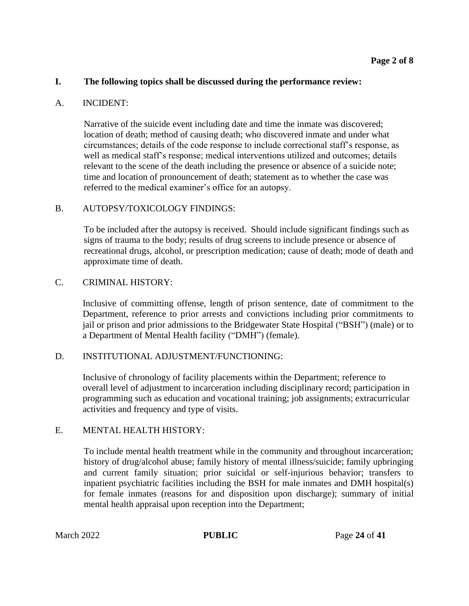#### **I. The following topics shall be discussed during the performance review:**

#### A. INCIDENT:

Narrative of the suicide event including date and time the inmate was discovered; location of death; method of causing death; who discovered inmate and under what circumstances; details of the code response to include correctional staff's response, as well as medical staff's response; medical interventions utilized and outcomes; details relevant to the scene of the death including the presence or absence of a suicide note; time and location of pronouncement of death; statement as to whether the case was referred to the medical examiner's office for an autopsy.

#### B. AUTOPSY/TOXICOLOGY FINDINGS:

To be included after the autopsy is received. Should include significant findings such as signs of trauma to the body; results of drug screens to include presence or absence of recreational drugs, alcohol, or prescription medication; cause of death; mode of death and approximate time of death.

#### C. CRIMINAL HISTORY:

Inclusive of committing offense, length of prison sentence, date of commitment to the Department, reference to prior arrests and convictions including prior commitments to jail or prison and prior admissions to the Bridgewater State Hospital ("BSH") (male) or to a Department of Mental Health facility ("DMH") (female).

#### D. INSTITUTIONAL ADJUSTMENT/FUNCTIONING:

Inclusive of chronology of facility placements within the Department; reference to overall level of adjustment to incarceration including disciplinary record; participation in programming such as education and vocational training; job assignments; extracurricular activities and frequency and type of visits.

#### E. MENTAL HEALTH HISTORY:

To include mental health treatment while in the community and throughout incarceration; history of drug/alcohol abuse; family history of mental illness/suicide; family upbringing and current family situation; prior suicidal or self-injurious behavior; transfers to inpatient psychiatric facilities including the BSH for male inmates and DMH hospital(s) for female inmates (reasons for and disposition upon discharge); summary of initial mental health appraisal upon reception into the Department;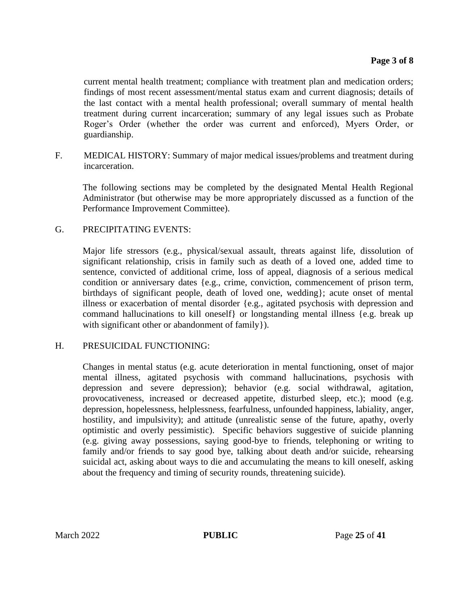current mental health treatment; compliance with treatment plan and medication orders; findings of most recent assessment/mental status exam and current diagnosis; details of the last contact with a mental health professional; overall summary of mental health treatment during current incarceration; summary of any legal issues such as Probate Roger's Order (whether the order was current and enforced), Myers Order, or guardianship.

F. MEDICAL HISTORY: Summary of major medical issues/problems and treatment during incarceration.

The following sections may be completed by the designated Mental Health Regional Administrator (but otherwise may be more appropriately discussed as a function of the Performance Improvement Committee).

#### G. PRECIPITATING EVENTS:

Major life stressors (e.g., physical/sexual assault, threats against life, dissolution of significant relationship, crisis in family such as death of a loved one, added time to sentence, convicted of additional crime, loss of appeal, diagnosis of a serious medical condition or anniversary dates {e.g., crime, conviction, commencement of prison term, birthdays of significant people, death of loved one, wedding}; acute onset of mental illness or exacerbation of mental disorder {e.g., agitated psychosis with depression and command hallucinations to kill oneself} or longstanding mental illness {e.g. break up with significant other or abandonment of family }).

#### H. PRESUICIDAL FUNCTIONING:

Changes in mental status (e.g. acute deterioration in mental functioning, onset of major mental illness, agitated psychosis with command hallucinations, psychosis with depression and severe depression); behavior (e.g. social withdrawal, agitation, provocativeness, increased or decreased appetite, disturbed sleep, etc.); mood (e.g. depression, hopelessness, helplessness, fearfulness, unfounded happiness, labiality, anger, hostility, and impulsivity); and attitude (unrealistic sense of the future, apathy, overly optimistic and overly pessimistic). Specific behaviors suggestive of suicide planning (e.g. giving away possessions, saying good-bye to friends, telephoning or writing to family and/or friends to say good bye, talking about death and/or suicide, rehearsing suicidal act, asking about ways to die and accumulating the means to kill oneself, asking about the frequency and timing of security rounds, threatening suicide).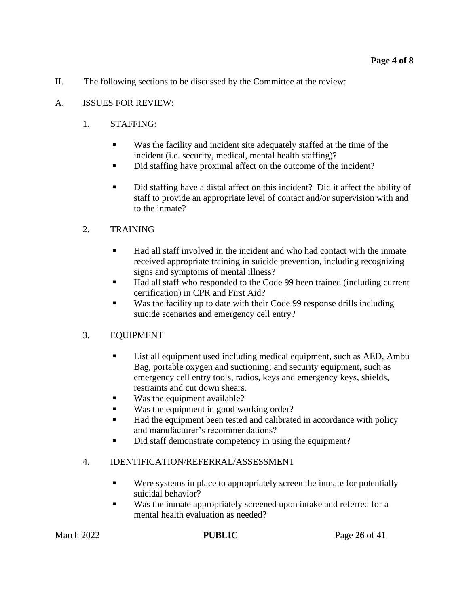II. The following sections to be discussed by the Committee at the review:

## A. ISSUES FOR REVIEW:

## 1. STAFFING:

- Was the facility and incident site adequately staffed at the time of the incident (i.e. security, medical, mental health staffing)?
- Did staffing have proximal affect on the outcome of the incident?
- Did staffing have a distal affect on this incident? Did it affect the ability of staff to provide an appropriate level of contact and/or supervision with and to the inmate?

## 2. TRAINING

- Had all staff involved in the incident and who had contact with the inmate received appropriate training in suicide prevention, including recognizing signs and symptoms of mental illness?
- Had all staff who responded to the Code 99 been trained (including current certification) in CPR and First Aid?
- Was the facility up to date with their Code 99 response drills including suicide scenarios and emergency cell entry?

### 3. EQUIPMENT

- List all equipment used including medical equipment, such as AED, Ambu Bag, portable oxygen and suctioning; and security equipment, such as emergency cell entry tools, radios, keys and emergency keys, shields, restraints and cut down shears.
- Was the equipment available?
- Was the equipment in good working order?
- Had the equipment been tested and calibrated in accordance with policy and manufacturer's recommendations?
- Did staff demonstrate competency in using the equipment?

### 4. IDENTIFICATION/REFERRAL/ASSESSMENT

- Were systems in place to appropriately screen the inmate for potentially suicidal behavior?
- Was the inmate appropriately screened upon intake and referred for a mental health evaluation as needed?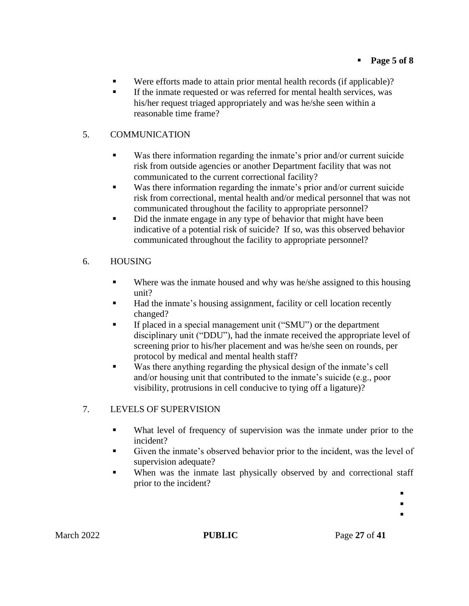- Were efforts made to attain prior mental health records (if applicable)?
- If the inmate requested or was referred for mental health services, was his/her request triaged appropriately and was he/she seen within a reasonable time frame?

## 5. COMMUNICATION

- Was there information regarding the inmate's prior and/or current suicide risk from outside agencies or another Department facility that was not communicated to the current correctional facility?
- Was there information regarding the inmate's prior and/or current suicide risk from correctional, mental health and/or medical personnel that was not communicated throughout the facility to appropriate personnel?
- Did the inmate engage in any type of behavior that might have been indicative of a potential risk of suicide? If so, was this observed behavior communicated throughout the facility to appropriate personnel?

## 6. HOUSING

- Where was the inmate housed and why was he/she assigned to this housing unit?
- Had the inmate's housing assignment, facility or cell location recently changed?
- If placed in a special management unit ("SMU") or the department disciplinary unit ("DDU"), had the inmate received the appropriate level of screening prior to his/her placement and was he/she seen on rounds, per protocol by medical and mental health staff?
- Was there anything regarding the physical design of the inmate's cell and/or housing unit that contributed to the inmate's suicide (e.g., poor visibility, protrusions in cell conducive to tying off a ligature)?

## 7. LEVELS OF SUPERVISION

- What level of frequency of supervision was the inmate under prior to the incident?
- Given the inmate's observed behavior prior to the incident, was the level of supervision adequate?
- When was the inmate last physically observed by and correctional staff prior to the incident?

▪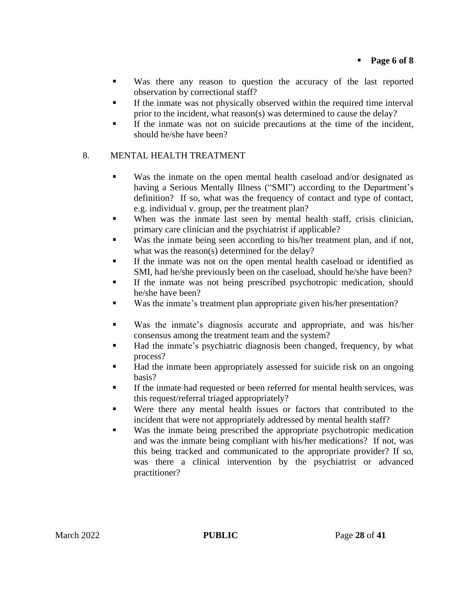- Was there any reason to question the accuracy of the last reported observation by correctional staff?
- **•** If the inmate was not physically observed within the required time interval prior to the incident, what reason(s) was determined to cause the delay?
- If the inmate was not on suicide precautions at the time of the incident, should he/she have been?

### 8. MENTAL HEALTH TREATMENT

- Was the inmate on the open mental health caseload and/or designated as having a Serious Mentally Illness ("SMI") according to the Department's definition? If so, what was the frequency of contact and type of contact, e.g. individual v. group, per the treatment plan?
- When was the inmate last seen by mental health staff, crisis clinician, primary care clinician and the psychiatrist if applicable?
- Was the inmate being seen according to his/her treatment plan, and if not, what was the reason(s) determined for the delay?
- If the inmate was not on the open mental health caseload or identified as SMI, had he/she previously been on the caseload, should he/she have been?
- If the inmate was not being prescribed psychotropic medication, should he/she have been?
- Was the inmate's treatment plan appropriate given his/her presentation?
- Was the inmate's diagnosis accurate and appropriate, and was his/her consensus among the treatment team and the system?
- Had the inmate's psychiatric diagnosis been changed, frequency, by what process?
- Had the inmate been appropriately assessed for suicide risk on an ongoing basis?
- If the inmate had requested or been referred for mental health services, was this request/referral triaged appropriately?
- Were there any mental health issues or factors that contributed to the incident that were not appropriately addressed by mental health staff?
- Was the inmate being prescribed the appropriate psychotropic medication and was the inmate being compliant with his/her medications? If not, was this being tracked and communicated to the appropriate provider? If so, was there a clinical intervention by the psychiatrist or advanced practitioner?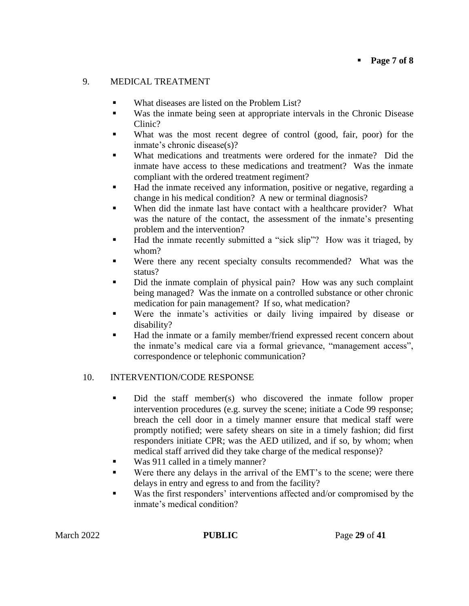### 9. MEDICAL TREATMENT

- What diseases are listed on the Problem List?
- Was the inmate being seen at appropriate intervals in the Chronic Disease Clinic?
- What was the most recent degree of control (good, fair, poor) for the inmate's chronic disease(s)?
- What medications and treatments were ordered for the inmate? Did the inmate have access to these medications and treatment? Was the inmate compliant with the ordered treatment regiment?
- Had the inmate received any information, positive or negative, regarding a change in his medical condition? A new or terminal diagnosis?
- When did the inmate last have contact with a healthcare provider? What was the nature of the contact, the assessment of the inmate's presenting problem and the intervention?
- Had the inmate recently submitted a "sick slip"? How was it triaged, by whom?
- Were there any recent specialty consults recommended? What was the status?
- Did the inmate complain of physical pain? How was any such complaint being managed? Was the inmate on a controlled substance or other chronic medication for pain management? If so, what medication?
- Were the inmate's activities or daily living impaired by disease or disability?
- Had the inmate or a family member/friend expressed recent concern about the inmate's medical care via a formal grievance, "management access", correspondence or telephonic communication?

### 10. INTERVENTION/CODE RESPONSE

- Did the staff member(s) who discovered the inmate follow proper intervention procedures (e.g. survey the scene; initiate a Code 99 response; breach the cell door in a timely manner ensure that medical staff were promptly notified; were safety shears on site in a timely fashion; did first responders initiate CPR; was the AED utilized, and if so, by whom; when medical staff arrived did they take charge of the medical response)?
- Was 911 called in a timely manner?
- Were there any delays in the arrival of the EMT's to the scene; were there delays in entry and egress to and from the facility?
- Was the first responders' interventions affected and/or compromised by the inmate's medical condition?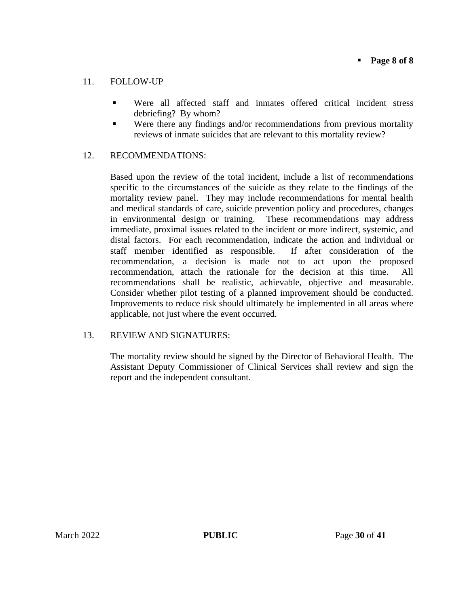### 11. FOLLOW-UP

- Were all affected staff and inmates offered critical incident stress debriefing? By whom?
- Were there any findings and/or recommendations from previous mortality reviews of inmate suicides that are relevant to this mortality review?

#### 12. RECOMMENDATIONS:

Based upon the review of the total incident, include a list of recommendations specific to the circumstances of the suicide as they relate to the findings of the mortality review panel. They may include recommendations for mental health and medical standards of care, suicide prevention policy and procedures, changes in environmental design or training. These recommendations may address immediate, proximal issues related to the incident or more indirect, systemic, and distal factors. For each recommendation, indicate the action and individual or staff member identified as responsible. If after consideration of the recommendation, a decision is made not to act upon the proposed recommendation, attach the rationale for the decision at this time. All recommendations shall be realistic, achievable, objective and measurable. Consider whether pilot testing of a planned improvement should be conducted. Improvements to reduce risk should ultimately be implemented in all areas where applicable, not just where the event occurred.

### 13. REVIEW AND SIGNATURES:

The mortality review should be signed by the Director of Behavioral Health. The Assistant Deputy Commissioner of Clinical Services shall review and sign the report and the independent consultant.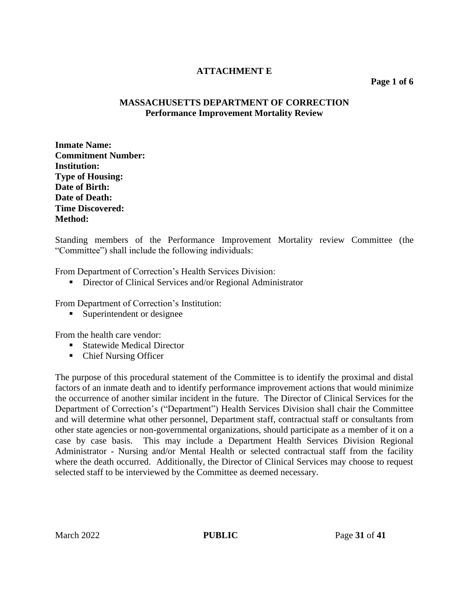### **ATTACHMENT E**

#### **Page 1 of 6**

### **MASSACHUSETTS DEPARTMENT OF CORRECTION Performance Improvement Mortality Review**

**Inmate Name: Commitment Number: Institution: Type of Housing: Date of Birth: Date of Death: Time Discovered: Method:**

Standing members of the Performance Improvement Mortality review Committee (the "Committee") shall include the following individuals:

From Department of Correction's Health Services Division:

■ Director of Clinical Services and/or Regional Administrator

From Department of Correction's Institution:

■ Superintendent or designee

From the health care vendor:

- Statewide Medical Director
- Chief Nursing Officer

The purpose of this procedural statement of the Committee is to identify the proximal and distal factors of an inmate death and to identify performance improvement actions that would minimize the occurrence of another similar incident in the future. The Director of Clinical Services for the Department of Correction's ("Department") Health Services Division shall chair the Committee and will determine what other personnel, Department staff, contractual staff or consultants from other state agencies or non-governmental organizations, should participate as a member of it on a case by case basis. This may include a Department Health Services Division Regional Administrator - Nursing and/or Mental Health or selected contractual staff from the facility where the death occurred. Additionally, the Director of Clinical Services may choose to request selected staff to be interviewed by the Committee as deemed necessary.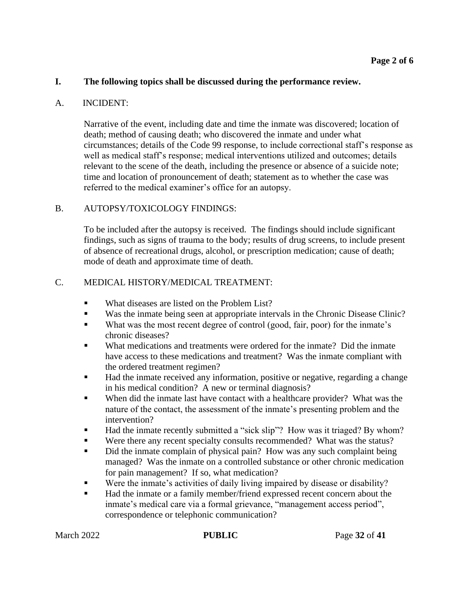#### **I. The following topics shall be discussed during the performance review.**

#### A. INCIDENT:

Narrative of the event, including date and time the inmate was discovered; location of death; method of causing death; who discovered the inmate and under what circumstances; details of the Code 99 response, to include correctional staff's response as well as medical staff's response; medical interventions utilized and outcomes; details relevant to the scene of the death, including the presence or absence of a suicide note; time and location of pronouncement of death; statement as to whether the case was referred to the medical examiner's office for an autopsy.

#### B. AUTOPSY/TOXICOLOGY FINDINGS:

To be included after the autopsy is received. The findings should include significant findings, such as signs of trauma to the body; results of drug screens, to include present of absence of recreational drugs, alcohol, or prescription medication; cause of death; mode of death and approximate time of death.

#### C. MEDICAL HISTORY/MEDICAL TREATMENT:

- What diseases are listed on the Problem List?
- Was the inmate being seen at appropriate intervals in the Chronic Disease Clinic?
- What was the most recent degree of control (good, fair, poor) for the inmate's chronic diseases?
- What medications and treatments were ordered for the inmate? Did the inmate have access to these medications and treatment? Was the inmate compliant with the ordered treatment regimen?
- Had the inmate received any information, positive or negative, regarding a change in his medical condition? A new or terminal diagnosis?
- When did the inmate last have contact with a healthcare provider? What was the nature of the contact, the assessment of the inmate's presenting problem and the intervention?
- Had the inmate recently submitted a "sick slip"? How was it triaged? By whom?
- Were there any recent specialty consults recommended? What was the status?
- Did the inmate complain of physical pain? How was any such complaint being managed? Was the inmate on a controlled substance or other chronic medication for pain management? If so, what medication?
- Were the inmate's activities of daily living impaired by disease or disability?
- Had the inmate or a family member/friend expressed recent concern about the inmate's medical care via a formal grievance, "management access period", correspondence or telephonic communication?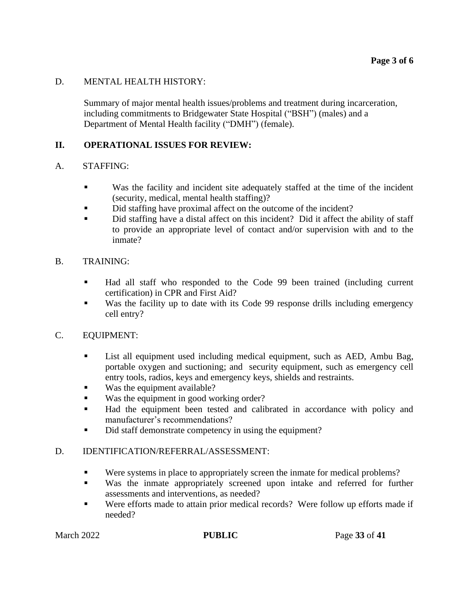#### D. MENTAL HEALTH HISTORY:

Summary of major mental health issues/problems and treatment during incarceration, including commitments to Bridgewater State Hospital ("BSH") (males) and a Department of Mental Health facility ("DMH") (female).

### **II. OPERATIONAL ISSUES FOR REVIEW:**

#### A. STAFFING:

- Was the facility and incident site adequately staffed at the time of the incident (security, medical, mental health staffing)?
- Did staffing have proximal affect on the outcome of the incident?
- Did staffing have a distal affect on this incident? Did it affect the ability of staff to provide an appropriate level of contact and/or supervision with and to the inmate?

#### B. TRAINING:

- Had all staff who responded to the Code 99 been trained (including current certification) in CPR and First Aid?
- Was the facility up to date with its Code 99 response drills including emergency cell entry?

#### C. EQUIPMENT:

- **EXECUTE:** List all equipment used including medical equipment, such as AED, Ambu Bag, portable oxygen and suctioning; and security equipment, such as emergency cell entry tools, radios, keys and emergency keys, shields and restraints.
- Was the equipment available?
- Was the equipment in good working order?
- Had the equipment been tested and calibrated in accordance with policy and manufacturer's recommendations?
- Did staff demonstrate competency in using the equipment?

### D. IDENTIFICATION/REFERRAL/ASSESSMENT:

- Were systems in place to appropriately screen the inmate for medical problems?
- Was the inmate appropriately screened upon intake and referred for further assessments and interventions, as needed?
- Were efforts made to attain prior medical records? Were follow up efforts made if needed?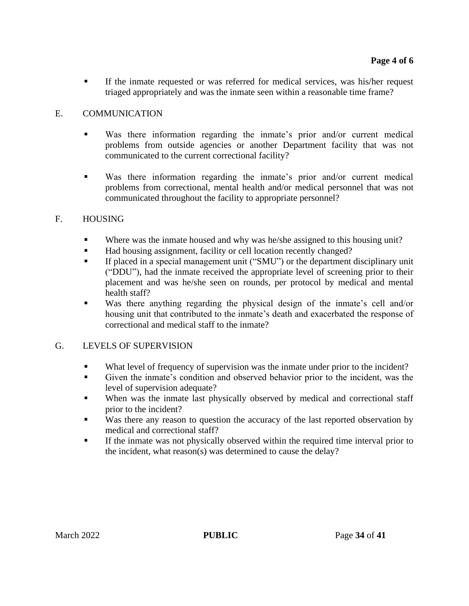▪ If the inmate requested or was referred for medical services, was his/her request triaged appropriately and was the inmate seen within a reasonable time frame?

## E. COMMUNICATION

- Was there information regarding the inmate's prior and/or current medical problems from outside agencies or another Department facility that was not communicated to the current correctional facility?
- Was there information regarding the inmate's prior and/or current medical problems from correctional, mental health and/or medical personnel that was not communicated throughout the facility to appropriate personnel?

### F. HOUSING

- **•** Where was the inmate housed and why was he/she assigned to this housing unit?
- Had housing assignment, facility or cell location recently changed?
- **EXECUTE:** If placed in a special management unit ("SMU") or the department disciplinary unit ("DDU"), had the inmate received the appropriate level of screening prior to their placement and was he/she seen on rounds, per protocol by medical and mental health staff?
- Was there anything regarding the physical design of the inmate's cell and/or housing unit that contributed to the inmate's death and exacerbated the response of correctional and medical staff to the inmate?

## G. LEVELS OF SUPERVISION

- What level of frequency of supervision was the inmate under prior to the incident?
- Given the inmate's condition and observed behavior prior to the incident, was the level of supervision adequate?
- When was the inmate last physically observed by medical and correctional staff prior to the incident?
- Was there any reason to question the accuracy of the last reported observation by medical and correctional staff?
- If the inmate was not physically observed within the required time interval prior to the incident, what reason(s) was determined to cause the delay?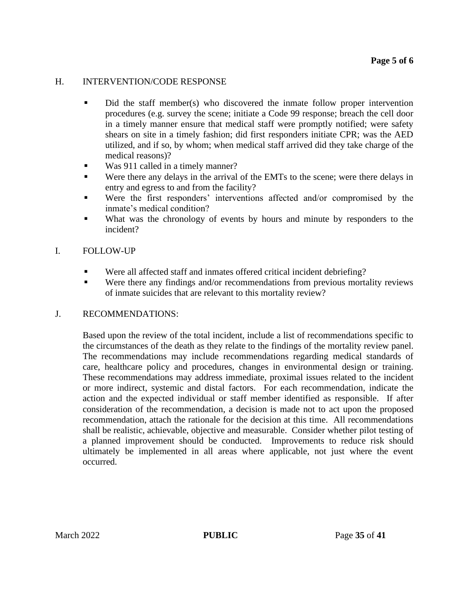#### H. INTERVENTION/CODE RESPONSE

- Did the staff member(s) who discovered the inmate follow proper intervention procedures (e.g. survey the scene; initiate a Code 99 response; breach the cell door in a timely manner ensure that medical staff were promptly notified; were safety shears on site in a timely fashion; did first responders initiate CPR; was the AED utilized, and if so, by whom; when medical staff arrived did they take charge of the medical reasons)?
- Was 911 called in a timely manner?
- Were there any delays in the arrival of the EMTs to the scene; were there delays in entry and egress to and from the facility?
- Were the first responders' interventions affected and/or compromised by the inmate's medical condition?
- What was the chronology of events by hours and minute by responders to the incident?

#### I. FOLLOW-UP

- Were all affected staff and inmates offered critical incident debriefing?
- Were there any findings and/or recommendations from previous mortality reviews of inmate suicides that are relevant to this mortality review?

#### J. RECOMMENDATIONS:

Based upon the review of the total incident, include a list of recommendations specific to the circumstances of the death as they relate to the findings of the mortality review panel. The recommendations may include recommendations regarding medical standards of care, healthcare policy and procedures, changes in environmental design or training. These recommendations may address immediate, proximal issues related to the incident or more indirect, systemic and distal factors. For each recommendation, indicate the action and the expected individual or staff member identified as responsible. If after consideration of the recommendation, a decision is made not to act upon the proposed recommendation, attach the rationale for the decision at this time. All recommendations shall be realistic, achievable, objective and measurable. Consider whether pilot testing of a planned improvement should be conducted. Improvements to reduce risk should ultimately be implemented in all areas where applicable, not just where the event occurred.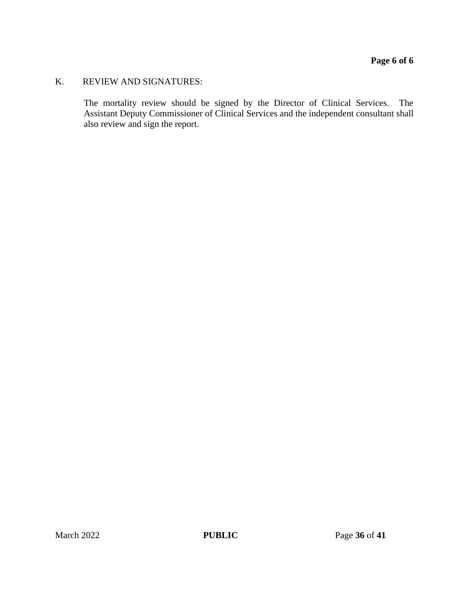## K. REVIEW AND SIGNATURES:

The mortality review should be signed by the Director of Clinical Services. The Assistant Deputy Commissioner of Clinical Services and the independent consultant shall also review and sign the report.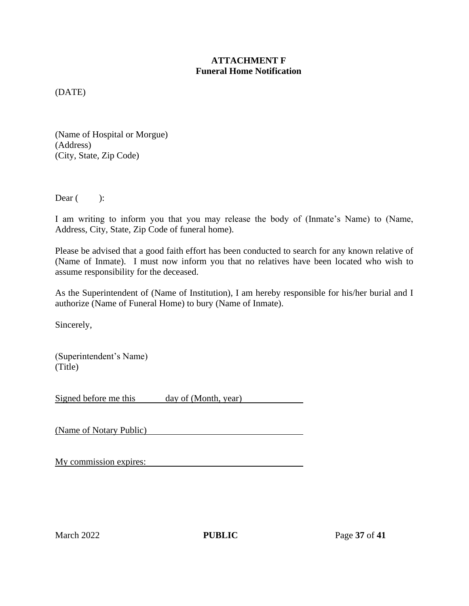## **ATTACHMENT F Funeral Home Notification**

(DATE)

(Name of Hospital or Morgue) (Address) (City, State, Zip Code)

Dear  $($  ):

I am writing to inform you that you may release the body of (Inmate's Name) to (Name, Address, City, State, Zip Code of funeral home).

Please be advised that a good faith effort has been conducted to search for any known relative of (Name of Inmate). I must now inform you that no relatives have been located who wish to assume responsibility for the deceased.

As the Superintendent of (Name of Institution), I am hereby responsible for his/her burial and I authorize (Name of Funeral Home) to bury (Name of Inmate).

Sincerely,

(Superintendent's Name) (Title)

Signed before me this day of (Month, year)

(Name of Notary Public)

|--|--|

March 2022 **PUBLIC** Page 37 of 41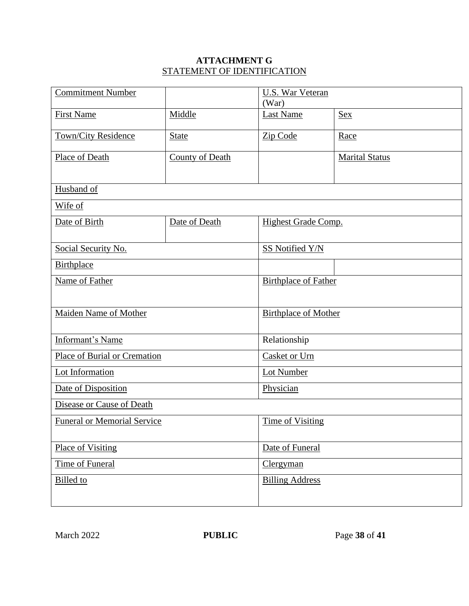# **ATTACHMENT G** STATEMENT OF IDENTIFICATION

| <b>Commitment Number</b>            |                 | U.S. War Veteran<br>(War)   |                       |  |  |
|-------------------------------------|-----------------|-----------------------------|-----------------------|--|--|
| <b>First Name</b>                   | Middle          | <b>Last Name</b>            | Sex                   |  |  |
| Town/City Residence                 | <b>State</b>    | Zip Code                    | Race                  |  |  |
| Place of Death                      | County of Death |                             | <b>Marital Status</b> |  |  |
| Husband of                          |                 |                             |                       |  |  |
|                                     |                 |                             |                       |  |  |
| Wife of                             |                 |                             |                       |  |  |
| Date of Birth                       | Date of Death   | <b>Highest Grade Comp.</b>  |                       |  |  |
| Social Security No.                 |                 | <b>SS Notified Y/N</b>      |                       |  |  |
| <b>Birthplace</b>                   |                 |                             |                       |  |  |
| Name of Father                      |                 | <b>Birthplace of Father</b> |                       |  |  |
|                                     |                 |                             |                       |  |  |
| <b>Maiden Name of Mother</b>        |                 | <b>Birthplace of Mother</b> |                       |  |  |
| Informant's Name                    |                 | Relationship                |                       |  |  |
| <b>Place of Burial or Cremation</b> |                 | Casket or Urn               |                       |  |  |
| Lot Information                     |                 | <b>Lot Number</b>           |                       |  |  |
| Date of Disposition                 |                 | Physician                   |                       |  |  |
| Disease or Cause of Death           |                 |                             |                       |  |  |
| <b>Funeral or Memorial Service</b>  |                 | <b>Time of Visiting</b>     |                       |  |  |
| <b>Place of Visiting</b>            |                 | Date of Funeral             |                       |  |  |
| Time of Funeral                     |                 | Clergyman                   |                       |  |  |
| <b>Billed</b> to                    |                 | <b>Billing Address</b>      |                       |  |  |
|                                     |                 |                             |                       |  |  |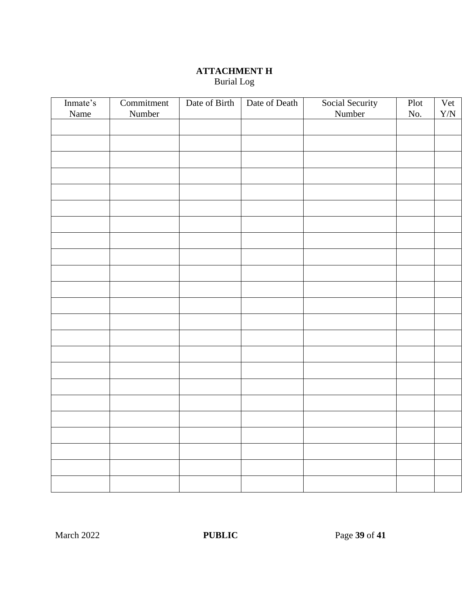## **ATTACHMENT H** Burial Log

| Inmate's | Commitment | Date of Birth | Date of Death | Social Security | Plot | Vet         |
|----------|------------|---------------|---------------|-----------------|------|-------------|
| Name     | Number     |               |               | Number          | No.  | ${\rm Y/N}$ |
|          |            |               |               |                 |      |             |
|          |            |               |               |                 |      |             |
|          |            |               |               |                 |      |             |
|          |            |               |               |                 |      |             |
|          |            |               |               |                 |      |             |
|          |            |               |               |                 |      |             |
|          |            |               |               |                 |      |             |
|          |            |               |               |                 |      |             |
|          |            |               |               |                 |      |             |
|          |            |               |               |                 |      |             |
|          |            |               |               |                 |      |             |
|          |            |               |               |                 |      |             |
|          |            |               |               |                 |      |             |
|          |            |               |               |                 |      |             |
|          |            |               |               |                 |      |             |
|          |            |               |               |                 |      |             |
|          |            |               |               |                 |      |             |
|          |            |               |               |                 |      |             |
|          |            |               |               |                 |      |             |
|          |            |               |               |                 |      |             |
|          |            |               |               |                 |      |             |
|          |            |               |               |                 |      |             |
|          |            |               |               |                 |      |             |
|          |            |               |               |                 |      |             |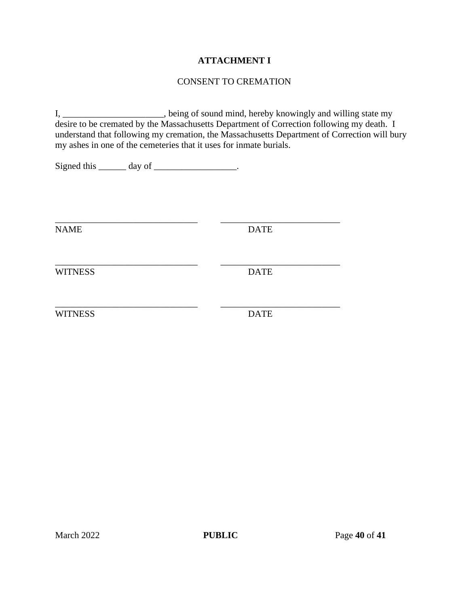## **ATTACHMENT I**

## CONSENT TO CREMATION

I, \_\_\_\_\_\_\_\_\_\_\_\_\_\_\_\_\_\_, being of sound mind, hereby knowingly and willing state my desire to be cremated by the Massachusetts Department of Correction following my death. I understand that following my cremation, the Massachusetts Department of Correction will bury my ashes in one of the cemeteries that it uses for inmate burials.

\_\_\_\_\_\_\_\_\_\_\_\_\_\_\_\_\_\_\_\_\_\_\_\_\_\_\_\_\_\_\_ \_\_\_\_\_\_\_\_\_\_\_\_\_\_\_\_\_\_\_\_\_\_\_\_\_\_

\_\_\_\_\_\_\_\_\_\_\_\_\_\_\_\_\_\_\_\_\_\_\_\_\_\_\_\_\_\_\_ \_\_\_\_\_\_\_\_\_\_\_\_\_\_\_\_\_\_\_\_\_\_\_\_\_\_

Signed this \_\_\_\_\_\_\_ day of \_\_\_\_\_\_\_\_\_\_\_\_\_\_\_\_.

NAME DATE

\_\_\_\_\_\_\_\_\_\_\_\_\_\_\_\_\_\_\_\_\_\_\_\_\_\_\_\_\_\_\_ \_\_\_\_\_\_\_\_\_\_\_\_\_\_\_\_\_\_\_\_\_\_\_\_\_\_ WITNESS DATE

WITNESS DATE